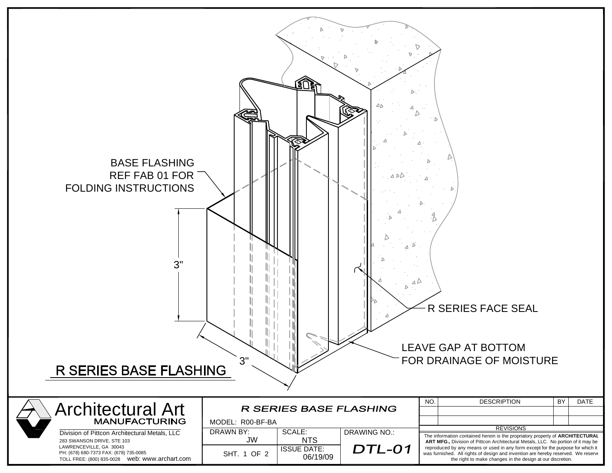